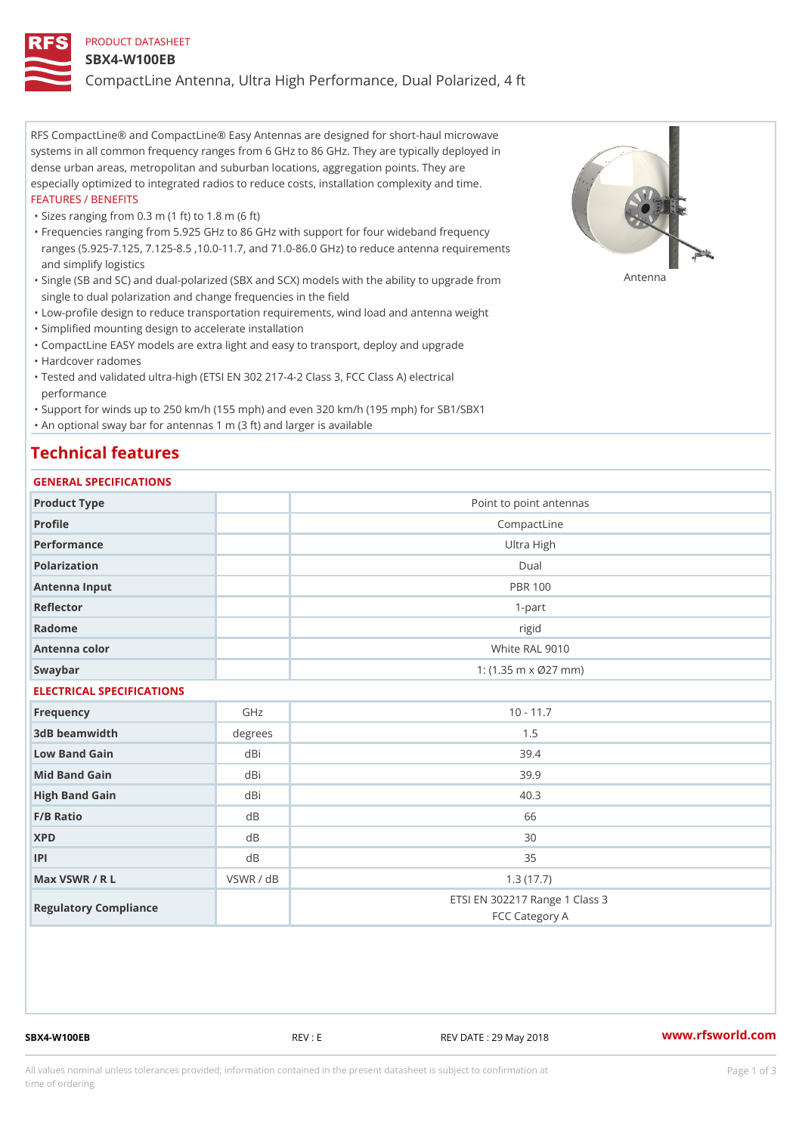### PRODUCT DATASHEET

#### SBX4-W100EB

CompactLine Antenna, Ultra High Performance, Dual Polarized, 4 ft

RFS CompactLine® and CompactLine® Easy Antennas are designed for short-haul microwave systems in all common frequency ranges from 6 GHz to 86 GHz. They are typically deployed in dense urban areas, metropolitan and suburban locations, aggregation points. They are especially optimized to integrated radios to reduce costs, installation complexity and time. FEATURES / BENEFITS

"Sizes ranging from 0.3 m (1 ft) to 1.8 m (6 ft)

Frequencies ranging from 5.925 GHz to 86 GHz with support for four wideband frequency " ranges (5.925-7.125, 7.125-8.5 ,10.0-11.7, and 71.0-86.0 GHz) to reduce antenna requirements and simplify logistics

"Single (SB and SC) and dual-polarized (SBX and SCX) models with the abili $\mathsf{f} \gamma^{\mathsf{n}} \mathsf{t} \mathsf{B}^{\mathsf{n}} \mathsf{u} \mathsf{p} \mathsf{B}$ grade from single to dual polarization and change frequencies in the field

"Low-profile design to reduce transportation requirements, wind load and antenna weight

"Simplified mounting design to accelerate installation

 "CompactLine EASY models are extra light and easy to transport, deploy and upgrade "Hardcover radomes

Tested and validated ultra-high (ETSI EN 302 217-4-2 Class 3, FCC Class A) electrical " performance

 "Support for winds up to 250 km/h (155 mph) and even 320 km/h (195 mph) for SB1/SBX1 "An optional sway bar for antennas 1 m (3 ft) and larger is available

# Technical features

## GENERAL SPECIFICATIONS

| GENERAL SELGIFICATIONS    |           |                                                  |  |  |
|---------------------------|-----------|--------------------------------------------------|--|--|
| Product Type              |           | Point to point antennas                          |  |  |
| Profile                   |           | CompactLine                                      |  |  |
| Performance               |           | Ultra High                                       |  |  |
| Polarization              |           | $D$ ual                                          |  |  |
| Antenna Input             |           | <b>PBR 100</b>                                   |  |  |
| Reflector                 |           | $1 - p$ art                                      |  |  |
| Radome                    |           | rigid                                            |  |  |
| Antenna color             |           | White RAL 9010                                   |  |  |
| Swaybar                   |           | 1: $(1.35 \, m \times 027 \, mm)$                |  |  |
| ELECTRICAL SPECIFICATIONS |           |                                                  |  |  |
| Frequency                 | GHz       | $10 - 11.7$                                      |  |  |
| 3dB beamwidth             | degree:   | 1.5                                              |  |  |
| Low Band Gain             | dBi       | 39.4                                             |  |  |
| Mid Band Gain             | dBi       | 39.9                                             |  |  |
| High Band Gain            | dBi       | 40.3                                             |  |  |
| F/B Ratio                 | d B       | 66                                               |  |  |
| <b>XPD</b>                | d B       | 30                                               |  |  |
| P                         | d B       | 35                                               |  |  |
| Max VSWR / R L            | VSWR / dB | 1.3(17.7)                                        |  |  |
| Regulatory Compliance     |           | ETSI EN 302217 Range 1 Class 3<br>FCC Category A |  |  |

SBX4-W100EB REV : E REV DATE : 29 May 2018 [www.](https://www.rfsworld.com)rfsworld.com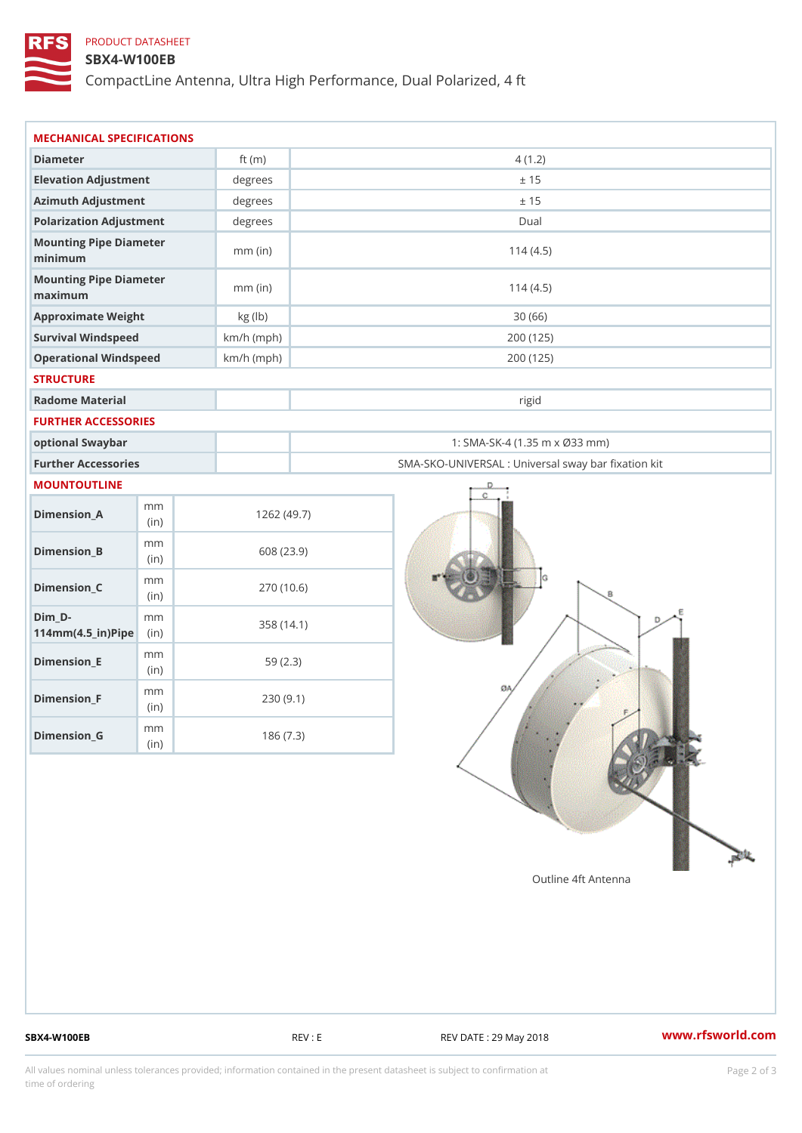## PRODUCT DATASHEET

### SBX4-W100EB

CompactLine Antenna, Ultra High Performance, Dual Polarized, 4 ft

| MECHANICAL SPECIFICATIONS                                      |              |                                                   |  |
|----------------------------------------------------------------|--------------|---------------------------------------------------|--|
| Diameter                                                       | ft $(m)$     | 4(1.2)                                            |  |
| Elevation Adjustment                                           | degrees      | ± 15                                              |  |
| Azimuth Adjustment                                             | degrees      | ± 15                                              |  |
| Polarization Adjustment                                        | degrees      | Dual                                              |  |
| Mounting Pipe Diameter<br>minimum                              | $mm$ (in)    | 114(4.5)                                          |  |
| Mounting Pipe Diameter<br>maximum                              | $mm$ (in)    | 114(4.5)                                          |  |
| Approximate Weight                                             | kg (lb)      | 30(66)                                            |  |
| Survival Windspeed                                             | $km/h$ (mph) | 200 (125)                                         |  |
| Operational Windspeed                                          | $km/h$ (mph) | 200 (125)                                         |  |
| <b>STRUCTURE</b>                                               |              |                                                   |  |
| Radome Material                                                |              | rigid                                             |  |
| FURTHER ACCESSORIES                                            |              |                                                   |  |
| optional Swaybar                                               |              | 1: SMA-SK-4 (1.35 m x Ø33 mm)                     |  |
| Further Accessories                                            |              | SMA-SKO-UNIVERSAL : Universal sway bar fixation l |  |
| MOUNTOUTLINE                                                   |              |                                                   |  |
| m m<br>$Dimension_A$<br>(in)                                   |              | 1262(49.7)                                        |  |
| m m<br>$Dimension_B$<br>(i n)                                  |              | 608 (23.9)                                        |  |
| m m<br>$Dimension_C$<br>(in)                                   |              | 270 (10.6)                                        |  |
| $Dim_D - D -$<br>m m<br>$114$ m m $(4.5$ _ ir $)$ $R$ ii p $e$ |              | 358 (14.1)                                        |  |
| m m<br>$Dimension$ = E<br>(in)                                 |              | 59(2.3)                                           |  |
| m m<br>$Dimension_F$<br>(in)                                   |              | 230(9.1)                                          |  |
| m m<br>$Dimenision_G$                                          |              | 186(7.3)                                          |  |

SBX4-W100EB REV : E REV : REV DATE : 29 May 2018 WWW.rfsworld.com

All values nominal unless tolerances provided; information contained in the present datasheet is subject to Pcapgelio an atio time of ordering